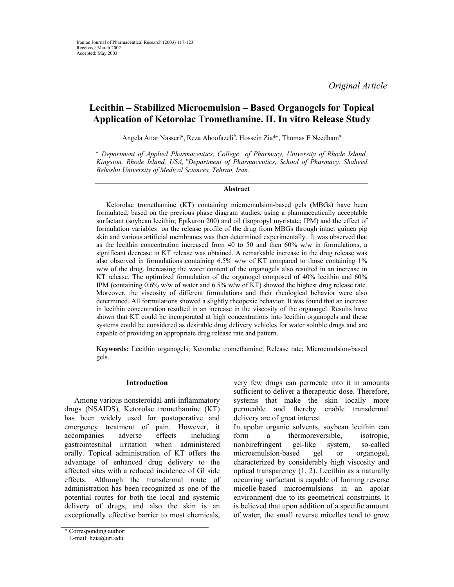*Original Article* 

# **Lecithin – Stabilized Microemulsion – Based Organogels for Topical Application of Ketorolac Tromethamine. II. In vitro Release Study**

Angela Attar Nasseri<sup>a</sup>, Reza Aboofazeli<sup>b</sup>, Hossein Zia<sup>\*a</sup>, Thomas E Needham<sup>a</sup>

*a Department of Applied Pharmaceutics, College of Pharmacy, University of Rhode Island, Kingston, Rhode Island, USA, bDepartment of Pharmaceutics, School of Pharmacy, Shaheed Beheshti University of Medical Sciences, Tehran, Iran.* 

#### **Abstract**

Ketorolac tromethamine (KT) containing microemulsion-based gels (MBGs) have been formulated, based on the previous phase diagram studies, using a pharmaceutically acceptable surfactant (soybean lecithin; Epikuron 200) and oil (isopropyl myristate; IPM) and the effect of formulation variables on the release profile of the drug from MBGs through intact guinea pig skin and various artificial membranes was then determined experimentally. It was observed that as the lecithin concentration increased from 40 to 50 and then 60% w/w in formulations, a significant decrease in KT release was obtained. A remarkable increase in the drug release was also observed in formulations containing 6.5% w/w of KT compared to those containing 1% w/w of the drug. Increasing the water content of the organogels also resulted in an increase in KT release. The optimized formulation of the organogel composed of 40% lecithin and 60% IPM (containing 0.6% w/w of water and 6.5% w/w of KT) showed the highest drug release rate. Moreover, the viscosity of different formulations and their rheological behavior were also determined. All formulations showed a slightly rheopexic behavior. It was found that an increase in lecithin concentration resulted in an increase in the viscosity of the organogel. Results have shown that KT could be incorporated at high concentrations into lecithin organogels and these systems could be considered as desirable drug delivery vehicles for water soluble drugs and are capable of providing an appropriate drug release rate and pattern.

**Keywords:** Lecithin organogels; Ketorolac tromethamine; Release rate; Microemulsion-based gels.

#### **Introduction**

Among various nonsteroidal anti-inflammatory drugs (NSAIDS), Ketorolac tromethamine (KT) has been widely used for postoperative and emergency treatment of pain. However, it accompanies adverse effects including gastrointestinal irritation when administered orally. Topical administration of KT offers the advantage of enhanced drug delivery to the affected sites with a reduced incidence of GI side effects. Although the transdermal route of administration has been recognized as one of the potential routes for both the local and systemic delivery of drugs, and also the skin is an exceptionally effective barrier to most chemicals,

very few drugs can permeate into it in amounts sufficient to deliver a therapeutic dose. Therefore, systems that make the skin locally more permeable and thereby enable transdermal delivery are of great interest.

In apolar organic solvents, soybean lecithin can form a thermoreversible, isotropic, nonbirefringent gel-like system, so-called microemulsion-based gel or organogel, characterized by considerably high viscosity and optical transparency (1, 2). Lecithin as a naturally occurring surfactant is capable of forming reverse micelle-based microemulsions in an apolar environment due to its geometrical constraints. It is believed that upon addition of a specific amount of water, the small reverse micelles tend to grow

<sup>\*</sup> Corresponding author:

E-mail: hzia@uri.edu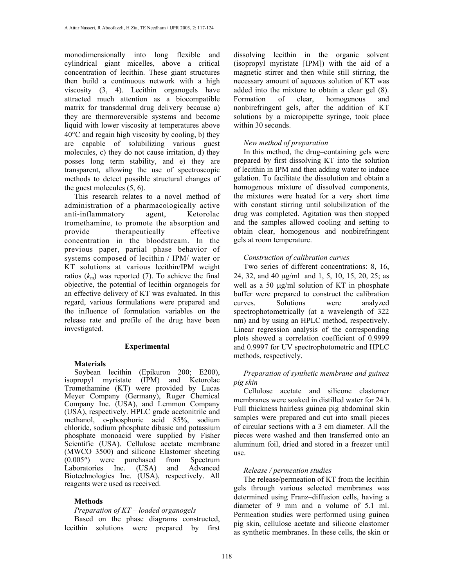monodimensionally into long flexible and cylindrical giant micelles, above a critical concentration of lecithin. These giant structures then build a continuous network with a high viscosity (3, 4). Lecithin organogels have attracted much attention as a biocompatible matrix for transdermal drug delivery because a) they are thermoreversible systems and become liquid with lower viscosity at temperatures above  $40^{\circ}$ C and regain high viscosity by cooling, b) they are capable of solubilizing various guest molecules, c) they do not cause irritation, d) they posses long term stability, and e) they are transparent, allowing the use of spectroscopic methods to detect possible structural changes of the guest molecules (5, 6).

This research relates to a novel method of administration of a pharmacologically active anti-inflammatory agent, Ketorolac tromethamine, to promote the absorption and provide therapeutically effective concentration in the bloodstream. In the previous paper, partial phase behavior of systems composed of lecithin / IPM/ water or KT solutions at various lecithin/IPM weight ratios  $(k_m)$  was reported (7). To achieve the final objective, the potential of lecithin organogels for an effective delivery of KT was evaluated. In this regard, various formulations were prepared and the influence of formulation variables on the release rate and profile of the drug have been investigated.

# **Experimental**

#### **Materials**

Soybean lecithin (Epikuron 200; E200), isopropyl myristate (IPM) and Ketorolac Tromethamine (KT) were provided by Lucas Meyer Company (Germany), Ruger Chemical Company Inc. (USA), and Lemmon Company (USA), respectively. HPLC grade acetonitrile and methanol, o-phosphoric acid 85%, sodium chloride, sodium phosphate dibasic and potassium phosphate monoacid were supplied by Fisher Scientific (USA). Cellulose acetate membrane (MWCO 3500) and silicone Elastomer sheeting (0.005″) were purchased from Spectrum Laboratories Inc. (USA) and Advanced Biotechnologies Inc. (USA), respectively. All reagents were used as received.

# **Methods**

#### *Preparation of KT – loaded organogels*

Based on the phase diagrams constructed, lecithin solutions were prepared by first

dissolving lecithin in the organic solvent (isopropyl myristate [IPM]) with the aid of a magnetic stirrer and then while still stirring, the necessary amount of aqueous solution of KT was added into the mixture to obtain a clear gel (8). Formation of clear, homogenous and nonbirefringent gels, after the addition of KT solutions by a micropipette syringe, took place within 30 seconds.

### *New method of preparation*

In this method, the drug–containing gels were prepared by first dissolving KT into the solution of lecithin in IPM and then adding water to induce gelation. To facilitate the dissolution and obtain a homogenous mixture of dissolved components, the mixtures were heated for a very short time with constant stirring until solubilization of the drug was completed. Agitation was then stopped and the samples allowed cooling and setting to obtain clear, homogenous and nonbirefringent gels at room temperature.

### *Construction of calibration curves*

Two series of different concentrations: 8, 16, 24, 32, and 40 µg/ml and 1, 5, 10, 15, 20, 25; as well as a 50  $\mu$ g/ml solution of KT in phosphate buffer were prepared to construct the calibration curves. Solutions were analyzed spectrophotometrically (at a wavelength of 322 nm) and by using an HPLC method, respectively. Linear regression analysis of the corresponding plots showed a correlation coefficient of 0.9999 and 0.9997 for UV spectrophotometric and HPLC methods, respectively.

### *Preparation of synthetic membrane and guinea pig skin*

Cellulose acetate and silicone elastomer membranes were soaked in distilled water for 24 h. Full thickness hairless guinea pig abdominal skin samples were prepared and cut into small pieces of circular sections with a 3 cm diameter. All the pieces were washed and then transferred onto an aluminum foil, dried and stored in a freezer until use.

# *Release / permeation studies*

The release/permeation of KT from the lecithin gels through various selected membranes was determined using Franz–diffusion cells, having a diameter of 9 mm and a volume of 5.1 ml. Permeation studies were performed using guinea pig skin, cellulose acetate and silicone elastomer as synthetic membranes. In these cells, the skin or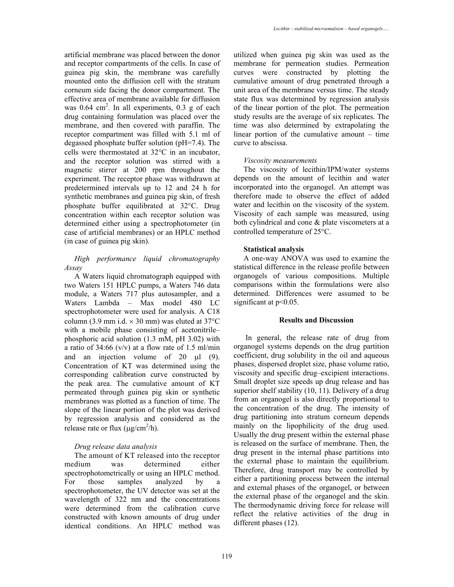artificial membrane was placed between the donor and receptor compartments of the cells. In case of guinea pig skin, the membrane was carefully mounted onto the diffusion cell with the stratum corneum side facing the donor compartment. The effective area of membrane available for diffusion was  $0.64 \text{ cm}^2$ . In all experiments,  $0.3 \text{ g}$  of each drug containing formulation was placed over the membrane, and then covered with paraffin. The receptor compartment was filled with 5.1 ml of degassed phosphate buffer solution (pH=7.4). The cells were thermostated at 32°C in an incubator, and the receptor solution was stirred with a magnetic stirrer at 200 rpm throughout the experiment. The receptor phase was withdrawn at predetermined intervals up to 12 and 24 h for synthetic membranes and guinea pig skin, of fresh phosphate buffer equilibrated at 32°C. Drug concentration within each receptor solution was determined either using a spectrophotometer (in case of artificial membranes) or an HPLC method (in case of guinea pig skin).

# *High performance liquid chromatography Assay*

A Waters liquid chromatograph equipped with two Waters 151 HPLC pumps, a Waters 746 data module, a Waters 717 plus autosampler, and a Waters Lambda – Max model 480 LC spectrophotometer were used for analysis. A C18 column (3.9 mm i.d.  $\times$  30 mm) was eluted at 37 $\degree$ C with a mobile phase consisting of acetonitrile– phosphoric acid solution (1.3 mM, pH 3.02) with a ratio of 34:66 (v/v) at a flow rate of 1.5 ml/min and an injection volume of 20  $\mu$ l (9). Concentration of KT was determined using the corresponding calibration curve constructed by the peak area. The cumulative amount of KT permeated through guinea pig skin or synthetic membranes was plotted as a function of time. The slope of the linear portion of the plot was derived by regression analysis and considered as the release rate or flux  $(\mu g/cm^2/h)$ .

# *Drug release data analysis*

The amount of KT released into the receptor medium was determined either spectrophotometrically or using an HPLC method. For those samples analyzed by a spectrophotometer, the UV detector was set at the wavelength of 322 nm and the concentrations were determined from the calibration curve constructed with known amounts of drug under identical conditions. An HPLC method was

utilized when guinea pig skin was used as the membrane for permeation studies. Permeation curves were constructed by plotting the cumulative amount of drug penetrated through a unit area of the membrane versus time. The steady state flux was determined by regression analysis of the linear portion of the plot. The permeation study results are the average of six replicates. The time was also determined by extrapolating the linear portion of the cumulative amount – time curve to abscissa.

# *Viscosity measurements*

The viscosity of lecithin/IPM/water systems depends on the amount of lecithin and water incorporated into the organogel. An attempt was therefore made to observe the effect of added water and lecithin on the viscosity of the system. Viscosity of each sample was measured, using both cylindrical and cone & plate viscometers at a controlled temperature of 25°C.

# **Statistical analysis**

A one-way ANOVA was used to examine the statistical difference in the release profile between organogels of various compositions. Multiple comparisons within the formulations were also determined. Differences were assumed to be significant at  $p<0.05$ .

#### **Results and Discussion**

 In general, the release rate of drug from organogel systems depends on the drug partition coefficient, drug solubility in the oil and aqueous phases, dispersed droplet size, phase volume ratio, viscosity and specific drug–excipient interactions. Small droplet size speeds up drug release and has superior shelf stability (10, 11). Delivery of a drug from an organogel is also directly proportional to the concentration of the drug. The intensity of drug partitioning into stratum corneum depends mainly on the lipophilicity of the drug used. Usually the drug present within the external phase is released on the surface of membrane. Then, the drug present in the internal phase partitions into the external phase to maintain the equilibrium. Therefore, drug transport may be controlled by either a partitioning process between the internal and external phases of the organogel, or between the external phase of the organogel and the skin. The thermodynamic driving force for release will reflect the relative activities of the drug in different phases (12).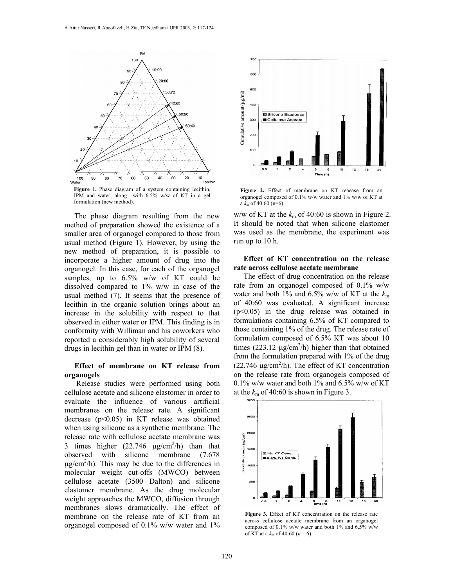

The phase diagram resulting from the new method of preparation showed the existence of a smaller area of organogel compared to those from usual method (Figure 1). However, by using the new method of preparation, it is possible to incorporate a higher amount of drug into the organogel. In this case, for each of the organogel samples, up to  $6.5\%$  w/w of KT could be dissolved compared to 1% w/w in case of the usual method (7). It seems that the presence of lecithin in the organic solution brings about an increase in the solubility with respect to that observed in either water or IPM. This finding is in conformity with Williman and his coworkers who reported a considerably high solubility of several drugs in lecithin gel than in water or IPM (8).

### **Effect of membrane on KT release from organogels**

 Release studies were performed using both cellulose acetate and silicone elastomer in order to evaluate the influence of various artificial membranes on the release rate. A significant decrease (p<0.05) in KT release was obtained when using silicone as a synthetic membrane. The release rate with cellulose acetate membrane was 3 times higher  $(22.746 \text{ }\mu\text{g/cm}^2/\text{h})$  than that observed with silicone membrane (7.678  $\mu$ g/cm<sup>2</sup>/h). This may be due to the differences in molecular weight cut-offs (MWCO) between cellulose acetate (3500 Dalton) and silicone elastomer membrane. As the drug molecular weight approaches the MWCO, diffusion through membranes slows dramatically. The effect of membrane on the release rate of KT from an organogel composed of 0.1% w/w water and 1%



**Figure 2.** Effect of membrane on KT reaease from an organogel composed of 0.1% w/w water and 1% w/w of KT at a  $k_m$  of 40:60 (n=6).

w/w of KT at the  $k_m$  of 40:60 is shown in Figure 2. It should be noted that when silicone elastomer was used as the membrane, the experiment was run up to 10 h.

### **Effect of KT concentration on the release rate across cellulose acetate membrane**

The effect of drug concentration on the release rate from an organogel composed of 0.1% w/w water and both 1% and 6.5% w/w of KT at the  $k_m$ of 40:60 was evaluated. A significant increase (p<0.05) in the drug release was obtained in formulations containing 6.5% of KT compared to those containing 1% of the drug. The release rate of formulation composed of 6.5% KT was about 10 times  $(223.12 \text{ µg/cm}^2/h)$  higher than that obtained from the formulation prepared with 1% of the drug  $(22.746 \mu g/cm^2/h)$ . The effect of KT concentration on the release rate from organogels composed of  $0.1\%$  w/w water and both 1% and 6.5% w/w of KT at the  $k<sub>m</sub>$  of 40:60 is shown in Figure 3.



**Figure 3.** Effect of KT concentration on the release rate across cellulose acetate membrane from an organogel composed of 0.1% w/w water and both 1% and 6.5% w/w of KT at a  $k_{\text{m}}$  of 40:60 ( $n = 6$ ).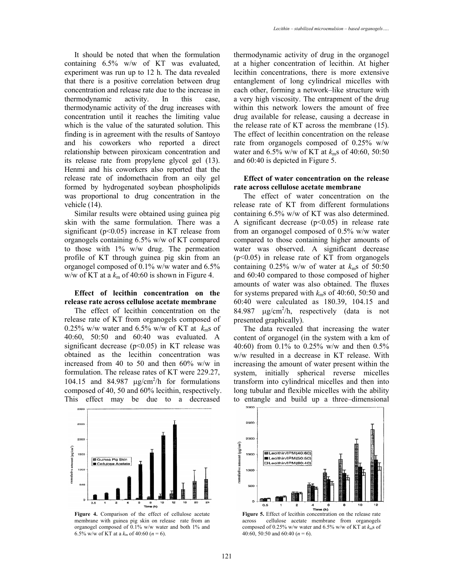It should be noted that when the formulation containing 6.5% w/w of KT was evaluated, experiment was run up to 12 h. The data revealed that there is a positive correlation between drug concentration and release rate due to the increase in thermodynamic activity. In this case, thermodynamic activity of the drug increases with concentration until it reaches the limiting value which is the value of the saturated solution. This finding is in agreement with the results of Santoyo and his coworkers who reported a direct relationship between piroxicam concentration and its release rate from propylene glycol gel (13). Henmi and his coworkers also reported that the release rate of indomethacin from an oily gel formed by hydrogenated soybean phospholipids was proportional to drug concentration in the vehicle (14).

Similar results were obtained using guinea pig skin with the same formulation. There was a significant ( $p<0.05$ ) increase in KT release from organogels containing 6.5% w/w of KT compared to those with 1% w/w drug. The permeation profile of KT through guinea pig skin from an organogel composed of 0.1% w/w water and 6.5% w/w of KT at a  $k<sub>m</sub>$  of 40:60 is shown in Figure 4.

#### **Effect of lecithin concentration on the release rate across cellulose acetate membrane**

The effect of lecithin concentration on the release rate of KT from organogels composed of 0.25% w/w water and 6.5% w/w of KT at  $k_m$ s of 40:60, 50:50 and 60:40 was evaluated. A significant decrease  $(p<0.05)$  in KT release was obtained as the lecithin concentration was increased from 40 to 50 and then 60% w/w in formulation. The release rates of KT were 229.27, 104.15 and 84.987  $\mu$ g/cm<sup>2</sup>/h for formulations composed of 40, 50 and 60% lecithin, respectively. This effect may be due to a decreased



**Figure 4.** Comparison of the effect of cellulose acetate membrane with guinea pig skin on release rate from an organogel composed of 0.1% w/w water and both 1% and 6.5% w/w of KT at a  $k_m$  of 40:60 ( $n = 6$ ).

thermodynamic activity of drug in the organogel at a higher concentration of lecithin. At higher lecithin concentrations, there is more extensive entanglement of long cylindrical micelles with each other, forming a network–like structure with a very high viscosity. The entrapment of the drug within this network lowers the amount of free drug available for release, causing a decrease in the release rate of KT across the membrane (15). The effect of lecithin concentration on the release rate from organogels composed of 0.25% w/w water and 6.5% w/w of KT at *k*ms of 40:60, 50:50 and 60:40 is depicted in Figure 5.

#### **Effect of water concentration on the release rate across cellulose acetate membrane**

The effect of water concentration on the release rate of KT from different formulations containing 6.5% w/w of KT was also determined. A significant decrease  $(p<0.05)$  in release rate from an organogel composed of 0.5% w/w water compared to those containing higher amounts of water was observed. A significant decrease (p<0.05) in release rate of KT from organogels containing  $0.25\%$  w/w of water at  $k_{\rm m}$ s of 50:50 and 60:40 compared to those composed of higher amounts of water was also obtained. The fluxes for systems prepared with  $k<sub>m</sub>$ s of 40:60, 50:50 and 60:40 were calculated as 180.39, 104.15 and 84.987  $\mu$ g/cm<sup>2</sup>/h, respectively (data is not presented graphically).

The data revealed that increasing the water content of organogel (in the system with a km of 40:60) from 0.1% to 0.25% w/w and then 0.5% w/w resulted in a decrease in KT release. With increasing the amount of water present within the system, initially spherical reverse micelles transform into cylindrical micelles and then into long tubular and flexible micelles with the ability to entangle and build up a three–dimensional



**Figure 5.** Effect of lecithin concentration on the release rate<br>across cellulose acetate membrane from organogels cellulose acetate membrane from organogels composed of 0.25% w/w water and 6.5% w/w of KT at *k*ms of 40:60, 50:50 and 60:40 (*n* = 6).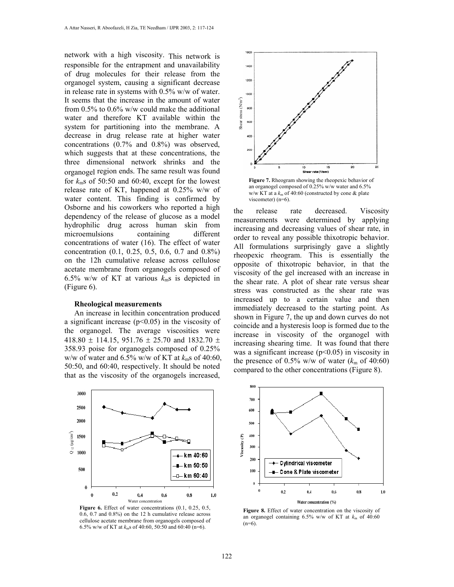network with a high viscosity. This network is responsible for the entrapment and unavailability of drug molecules for their release from the organogel system, causing a significant decrease in release rate in systems with 0.5% w/w of water. It seems that the increase in the amount of water from 0.5% to 0.6% w/w could make the additional water and therefore KT available within the system for partitioning into the membrane. A decrease in drug release rate at higher water concentrations (0.7% and 0.8%) was observed, which suggests that at these concentrations, the three dimensional network shrinks and the organogel region ends. The same result was found for  $k_{\rm m}$ s of 50:50 and 60:40, except for the lowest release rate of KT, happened at 0.25% w/w of water content. This finding is confirmed by Osborne and his coworkers who reported a high dependency of the release of glucose as a model hydrophilic drug across human skin from microemulsions containing different concentrations of water (16). The effect of water concentration (0.1, 0.25, 0.5, 0.6, 0.7 and 0.8%) on the 12h cumulative release across cellulose acetate membrane from organogels composed of 6.5% w/w of KT at various  $k<sub>m</sub>$ s is depicted in (Figure 6).

#### **Rheological measurements**

An increase in lecithin concentration produced a significant increase  $(p<0.05)$  in the viscosity of the organogel. The average viscosities were 418.80  $\pm$  114.15, 951.76  $\pm$  25.70 and 1832.70  $\pm$ 358.93 poise for organogels composed of 0.25% w/w of water and 6.5% w/w of KT at *k*ms of 40:60, 50:50, and 60:40, respectively. It should be noted that as the viscosity of the organogels increased,



**Figure 6.** Effect of water concentrations (0.1, 0.25, 0.5, 0.6, 0.7 and 0.8%) on the 12 h cumulative release across cellulose acetate membrane from organogels composed of 6.5% w/w of KT at *k*ms of 40:60, 50:50 and 60:40 (n=6).



**Figure 7.** Rheogram showing the rheopexic behavior of an organogel composed of 0.25% w/w water and 6.5% w/w KT at a  $k<sub>m</sub>$  of 40:60 (constructed by cone  $\&$  plate viscometer) (n=6).

the release rate decreased. Viscosity measurements were determined by applying increasing and decreasing values of shear rate, in order to reveal any possible thixotropic behavior. All formulations surprisingly gave a slightly rheopexic rheogram. This is essentially the opposite of thixotropic behavior, in that the viscosity of the gel increased with an increase in the shear rate. A plot of shear rate versus shear stress was constructed as the shear rate was increased up to a certain value and then immediately decreased to the starting point. As shown in Figure 7, the up and down curves do not coincide and a hysteresis loop is formed due to the increase in viscosity of the organogel with increasing shearing time. It was found that there was a significant increase  $(p<0.05)$  in viscosity in the presence of  $0.5\%$  w/w of water ( $k<sub>m</sub>$  of 40:60) compared to the other concentrations (Figure 8).



**Figure 8.** Effect of water concentration on the viscosity of an organogel containing  $6.5\%$  w/w of KT at  $k<sub>m</sub>$  of  $40.60$  $(n=6)$ .